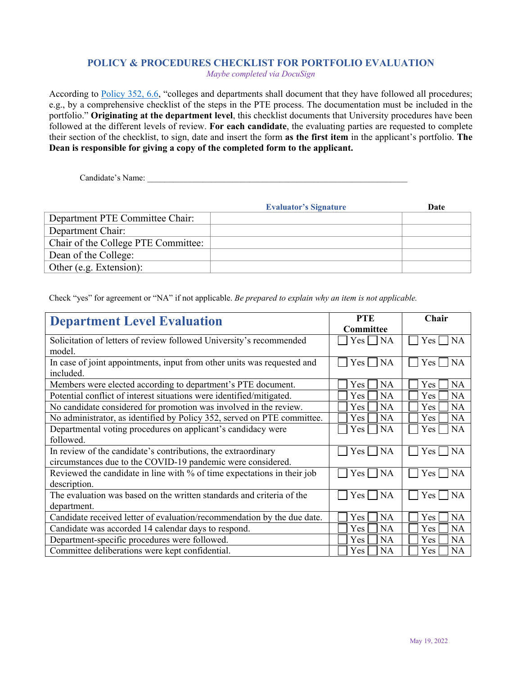## **POLICY & PROCEDURES CHECKLIST FOR PORTFOLIO EVALUATION**

*Maybe completed via DocuSign* 

According to Policy 352, 6.6, "colleges and departments shall document that they have followed all procedures; e.g., by a comprehensive checklist of the steps in the PTE process. The documentation must be included in the portfolio." **Originating at the department level**, this checklist documents that University procedures have been followed at the different levels of review. **For each candidate**, the evaluating parties are requested to complete their section of the checklist, to sign, date and insert the form **as the first item** in the applicant's portfolio. **The Dean is responsible for giving a copy of the completed form to the applicant.**

Candidate's Name:

|                                     | <b>Evaluator's Signature</b> | Date |
|-------------------------------------|------------------------------|------|
| Department PTE Committee Chair:     |                              |      |
| Department Chair:                   |                              |      |
| Chair of the College PTE Committee: |                              |      |
| Dean of the College:                |                              |      |
| Other (e.g. Extension):             |                              |      |

Check "yes" for agreement or "NA" if not applicable. *Be prepared to explain why an item is not applicable.* 

| <b>Department Level Evaluation</b>                                      | <b>PTE</b>                    | Chair                         |
|-------------------------------------------------------------------------|-------------------------------|-------------------------------|
|                                                                         | Committee                     |                               |
| Solicitation of letters of review followed University's recommended     | <b>NA</b><br>Yes              | Yes  <br><b>NA</b>            |
| model.                                                                  |                               |                               |
| In case of joint appointments, input from other units was requested and | <b>NA</b><br>Yes              | Yes  <br><b>NA</b>            |
| included.                                                               |                               |                               |
| Members were elected according to department's PTE document.            | <b>NA</b><br><b>Yes</b>       | Yes<br><b>NA</b>              |
| Potential conflict of interest situations were identified/mitigated.    | <b>NA</b><br>Yes.             | <b>NA</b><br>Yes              |
| No candidate considered for promotion was involved in the review.       | <b>NA</b><br><b>Yes</b>       | <b>NA</b><br>Yes              |
| No administrator, as identified by Policy 352, served on PTE committee. | <b>NA</b><br>Yes              | <b>NA</b><br>Yes              |
| Departmental voting procedures on applicant's candidacy were            | <b>NA</b><br>Yes              | <b>NA</b><br>Yes              |
| followed.                                                               |                               |                               |
| In review of the candidate's contributions, the extraordinary           | <b>NA</b><br>Yes              | Yes<br><b>NA</b>              |
| circumstances due to the COVID-19 pandemic were considered.             |                               |                               |
| Reviewed the candidate in line with % of time expectations in their job | <b>NA</b><br>Yes <sub>1</sub> | Yes <sub>1</sub><br><b>NA</b> |
| description.                                                            |                               |                               |
| The evaluation was based on the written standards and criteria of the   | <b>NA</b><br>Yes              | Yes<br><b>NA</b>              |
| department.                                                             |                               |                               |
| Candidate received letter of evaluation/recommendation by the due date. | <b>NA</b><br><b>Yes</b>       | <b>NA</b><br>Yes              |
| Candidate was accorded 14 calendar days to respond.                     | <b>NA</b><br>Yes              | <b>NA</b><br>Yes              |
| Department-specific procedures were followed.                           | <b>NA</b><br><b>Yes</b>       | <b>NA</b><br>Yes              |
| Committee deliberations were kept confidential.                         | <b>NA</b><br>Yes              | <b>NA</b><br>Yes              |